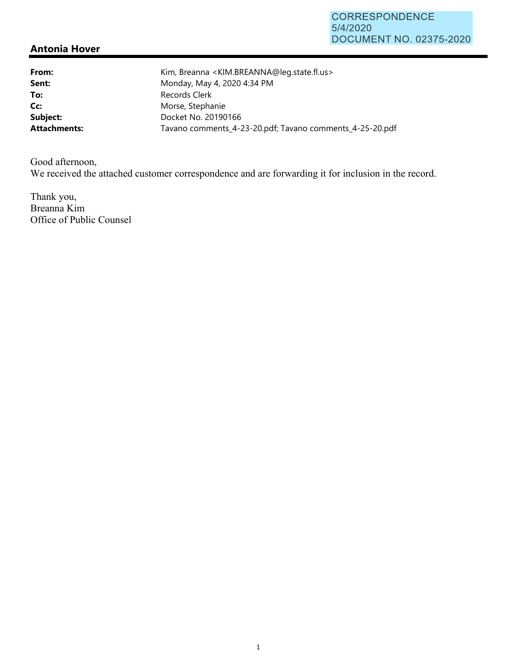## **Antonia Hover**

**From:** Kim, Breanna <KIM.BREANNA@leg.state.fl.us> **Sent:** Monday, May 4, 2020 4:34 PM To: Records Clerk Cc: Morse, Stephanie **Subject:** Docket No. 20190166 **Attachments:** Tavano comments\_4-23-20.pdf; Tavano comments\_4-25-20.pdf

Good afternoon, We received the attached customer correspondence and are forwarding it for inclusion in the record.

Thank you, Breanna Kim Office of Public Counsel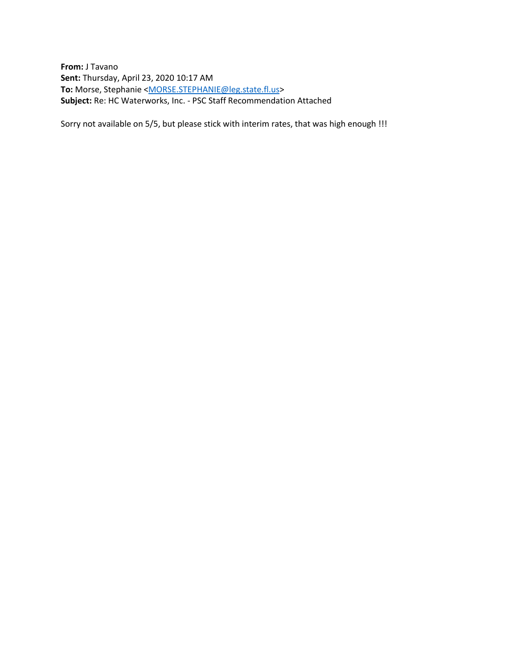**From:** J Tavano **Sent:** Thursday, April 23, 2020 10:17 AM To: Morse, Stephanie [<MORSE.STEPHANIE@leg.state.fl.us>](mailto:MORSE.STEPHANIE@leg.state.fl.us) **Subject:** Re: HC Waterworks, Inc. - PSC Staff Recommendation Attached

Sorry not available on 5/5, but please stick with interim rates, that was high enough !!!